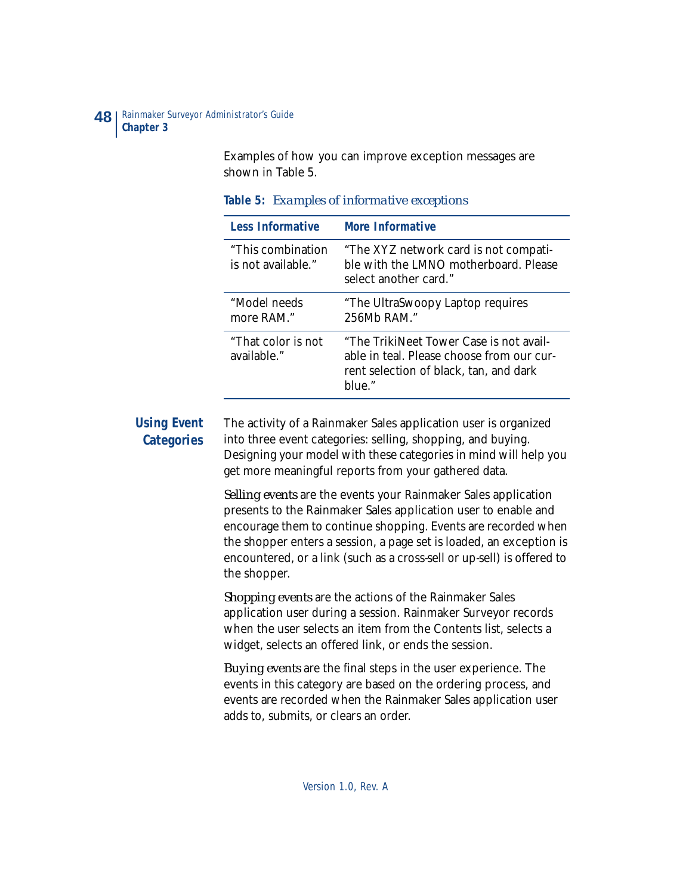Examples of how you can improve exception messages are shown in Table 5.

| <b>Less Informative</b>                  | <b>More Informative</b>                                                                                                                  |
|------------------------------------------|------------------------------------------------------------------------------------------------------------------------------------------|
| "This combination"<br>is not available." | "The XYZ network card is not compati-<br>ble with the LMNO motherboard. Please<br>select another card."                                  |
| "Model needs<br>more RAM."               | "The UltraSwoopy Laptop requires"<br>256Mb RAM."                                                                                         |
| "That color is not<br>available."        | "The TrikiNeet Tower Case is not avail-<br>able in teal. Please choose from our cur-<br>rent selection of black, tan, and dark<br>blue." |

| Table 5: Examples of informative exceptions |  |  |  |  |
|---------------------------------------------|--|--|--|--|
|---------------------------------------------|--|--|--|--|

# **Using Event Categories**

The activity of a Rainmaker Sales application user is organized into three event categories: selling, shopping, and buying. Designing your model with these categories in mind will help you get more meaningful reports from your gathered data.

*Selling events* are the events your Rainmaker Sales application presents to the Rainmaker Sales application user to enable and encourage them to continue shopping. Events are recorded when the shopper enters a session, a page set is loaded, an exception is encountered, or a link (such as a cross-sell or up-sell) is offered to the shopper.

*Shopping events* are the actions of the Rainmaker Sales application user during a session. Rainmaker Surveyor records when the user selects an item from the Contents list, selects a widget, selects an offered link, or ends the session.

*Buying events* are the final steps in the user experience. The events in this category are based on the ordering process, and events are recorded when the Rainmaker Sales application user adds to, submits, or clears an order.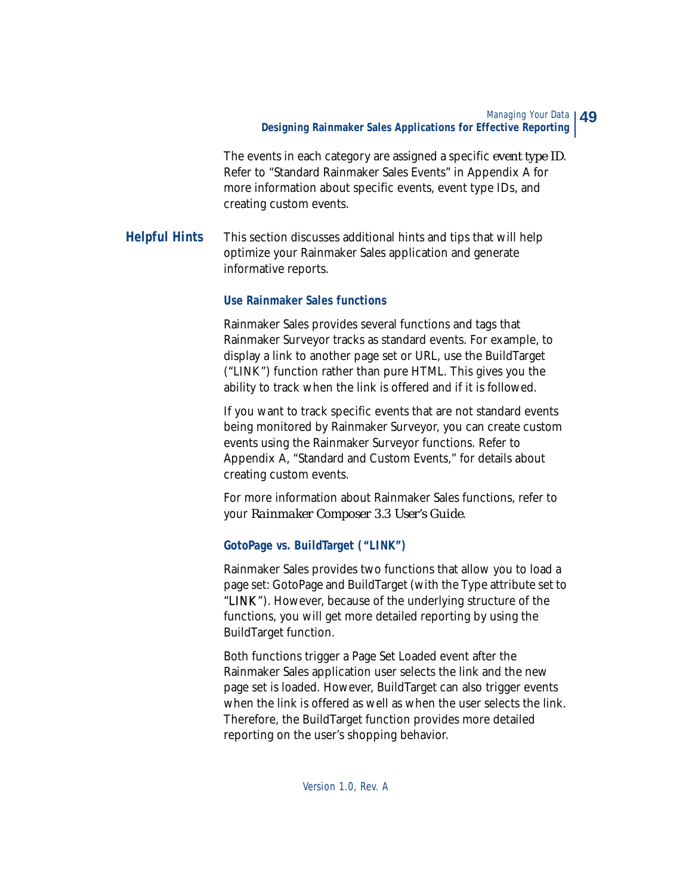The events in each category are assigned a specific *event type ID*. Refer to "Standard Rainmaker Sales Events" in Appendix A for more information about specific events, event type IDs, and creating custom events.

## **Helpful Hints** This section discusses additional hints and tips that will help optimize your Rainmaker Sales application and generate informative reports.

#### **Use Rainmaker Sales functions**

Rainmaker Sales provides several functions and tags that Rainmaker Surveyor tracks as standard events. For example, to display a link to another page set or URL, use the BuildTarget ("LINK") function rather than pure HTML. This gives you the ability to track when the link is offered and if it is followed.

If you want to track specific events that are not standard events being monitored by Rainmaker Surveyor, you can create custom events using the Rainmaker Surveyor functions. Refer to Appendix A, "Standard and Custom Events," for details about creating custom events.

For more information about Rainmaker Sales functions, refer to your *Rainmaker Composer 3.3 User's Guide*.

### **GotoPage vs. BuildTarget ("LINK")**

Rainmaker Sales provides two functions that allow you to load a page set: GotoPage and BuildTarget (with the Type attribute set to "LINK"). However, because of the underlying structure of the functions, you will get more detailed reporting by using the BuildTarget function.

Both functions trigger a Page Set Loaded event after the Rainmaker Sales application user selects the link and the new page set is loaded. However, BuildTarget can also trigger events when the link is offered as well as when the user selects the link. Therefore, the BuildTarget function provides more detailed reporting on the user's shopping behavior.